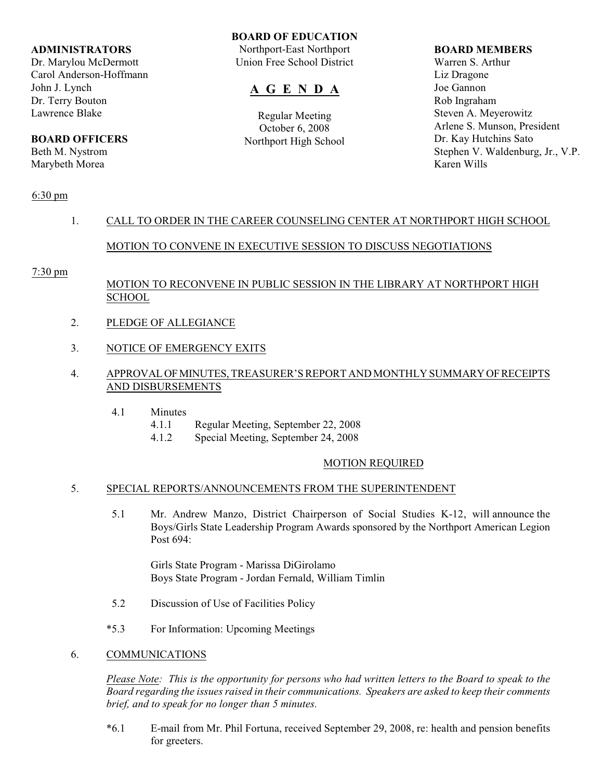### **ADMINISTRATORS**

Dr. Marylou McDermott Carol Anderson-Hoffmann John J. Lynch Dr. Terry Bouton Lawrence Blake

# **BOARD OFFICERS**

Beth M. Nystrom Marybeth Morea

### **BOARD OF EDUCATION**

Northport-East Northport Union Free School District

# **A G E N D A**

Regular Meeting October 6, 2008 Northport High School

#### **BOARD MEMBERS**

Warren S. Arthur Liz Dragone Joe Gannon Rob Ingraham Steven A. Meyerowitz Arlene S. Munson, President Dr. Kay Hutchins Sato Stephen V. Waldenburg, Jr., V.P. Karen Wills

# 6:30 pm

# 1. CALL TO ORDER IN THE CAREER COUNSELING CENTER AT NORTHPORT HIGH SCHOOL

# MOTION TO CONVENE IN EXECUTIVE SESSION TO DISCUSS NEGOTIATIONS

# 7:30 pm

# MOTION TO RECONVENE IN PUBLIC SESSION IN THE LIBRARY AT NORTHPORT HIGH SCHOOL

- 2. PLEDGE OF ALLEGIANCE
- 3. NOTICE OF EMERGENCY EXITS

# 4. APPROVAL OF MINUTES, TREASURER'S REPORT AND MONTHLY SUMMARY OF RECEIPTS AND DISBURSEMENTS

- 4.1 Minutes
	- 4.1.1 Regular Meeting, September 22, 2008
	- 4.1.2 Special Meeting, September 24, 2008

# MOTION REQUIRED

# 5. SPECIAL REPORTS/ANNOUNCEMENTS FROM THE SUPERINTENDENT

5.1 Mr. Andrew Manzo, District Chairperson of Social Studies K-12, will announce the Boys/Girls State Leadership Program Awards sponsored by the Northport American Legion Post 694:

Girls State Program - Marissa DiGirolamo Boys State Program - Jordan Fernald, William Timlin

- 5.2 Discussion of Use of Facilities Policy
- \*5.3 For Information: Upcoming Meetings

#### 6. COMMUNICATIONS

*Please Note: This is the opportunity for persons who had written letters to the Board to speak to the Board regarding the issues raised in their communications. Speakers are asked to keep their comments brief, and to speak for no longer than 5 minutes.*

\*6.1 E-mail from Mr. Phil Fortuna, received September 29, 2008, re: health and pension benefits for greeters.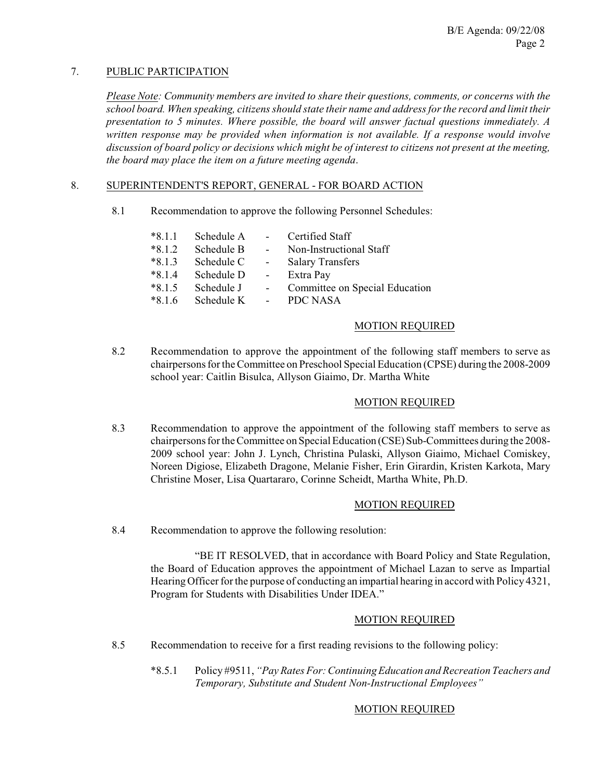# 7. PUBLIC PARTICIPATION

*Please Note: Community members are invited to share their questions, comments, or concerns with the school board. When speaking, citizens should state their name and address for the record and limit their presentation to 5 minutes. Where possible, the board will answer factual questions immediately. A written response may be provided when information is not available. If a response would involve discussion of board policy or decisions which might be of interest to citizens not present at the meeting, the board may place the item on a future meeting agenda*.

# 8. SUPERINTENDENT'S REPORT, GENERAL - FOR BOARD ACTION

8.1 Recommendation to approve the following Personnel Schedules:

| $*8.1.1$ | Schedule A |                 | Certified Staff                |
|----------|------------|-----------------|--------------------------------|
| $*8.1.2$ | Schedule B | $\sim$ 10 $\pm$ | Non-Instructional Staff        |
| $*8.1.3$ | Schedule C | $\sim 100$      | <b>Salary Transfers</b>        |
| $*8.1.4$ | Schedule D | $\sim$ $-$      | Extra Pay                      |
| $*8.1.5$ | Schedule J |                 | Committee on Special Education |
| $*816$   | Schedule K |                 | PDC NASA                       |

### MOTION REQUIRED

8.2 Recommendation to approve the appointment of the following staff members to serve as chairpersons for the Committee on Preschool Special Education (CPSE) during the 2008-2009 school year: Caitlin Bisulca, Allyson Giaimo, Dr. Martha White

# MOTION REQUIRED

8.3 Recommendation to approve the appointment of the following staff members to serve as chairpersons for the Committee on Special Education (CSE) Sub-Committees during the 2008- 2009 school year: John J. Lynch, Christina Pulaski, Allyson Giaimo, Michael Comiskey, Noreen Digiose, Elizabeth Dragone, Melanie Fisher, Erin Girardin, Kristen Karkota, Mary Christine Moser, Lisa Quartararo, Corinne Scheidt, Martha White, Ph.D.

#### MOTION REQUIRED

8.4 Recommendation to approve the following resolution:

"BE IT RESOLVED, that in accordance with Board Policy and State Regulation, the Board of Education approves the appointment of Michael Lazan to serve as Impartial Hearing Officer for the purpose of conducting an impartial hearing in accord with Policy 4321, Program for Students with Disabilities Under IDEA."

#### MOTION REQUIRED

- 8.5 Recommendation to receive for a first reading revisions to the following policy:
	- \*8.5.1 Policy #9511, *"Pay Rates For: Continuing Education and Recreation Teachers and Temporary, Substitute and Student Non-Instructional Employees"*

#### MOTION REQUIRED